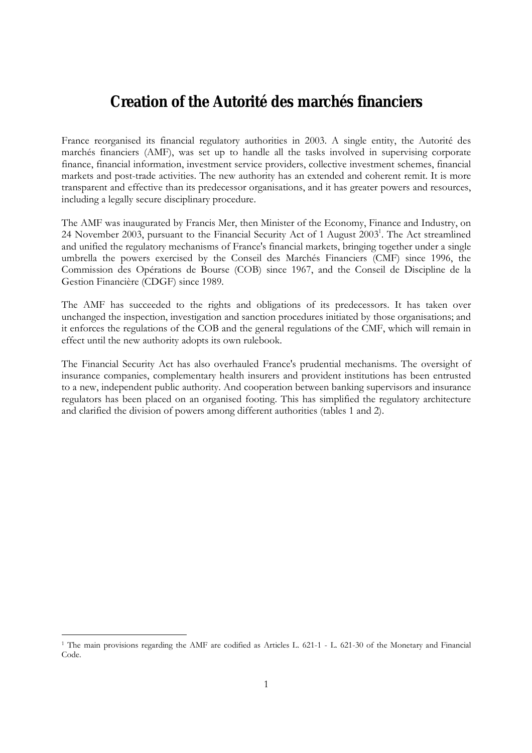# **Creation of the Autorité des marchés financiers**

France reorganised its financial regulatory authorities in 2003. A single entity, the Autorité des marchés financiers (AMF), was set up to handle all the tasks involved in supervising corporate finance, financial information, investment service providers, collective investment schemes, financial markets and post-trade activities. The new authority has an extended and coherent remit. It is more transparent and effective than its predecessor organisations, and it has greater powers and resources, including a legally secure disciplinary procedure.

The AMF was inaugurated by Francis Mer, then Minister of the Economy, Finance and Industry, on 24 November 2003, pursuant to the Financial Security Act of 1 August 2003<sup>1</sup>. The Act streamlined and unified the regulatory mechanisms of France's financial markets, bringing together under a single umbrella the powers exercised by the Conseil des Marchés Financiers (CMF) since 1996, the Commission des OpÈrations de Bourse (COB) since 1967, and the Conseil de Discipline de la Gestion Financière (CDGF) since 1989.

The AMF has succeeded to the rights and obligations of its predecessors. It has taken over unchanged the inspection, investigation and sanction procedures initiated by those organisations; and it enforces the regulations of the COB and the general regulations of the CMF, which will remain in effect until the new authority adopts its own rulebook.

The Financial Security Act has also overhauled France's prudential mechanisms. The oversight of insurance companies, complementary health insurers and provident institutions has been entrusted to a new, independent public authority. And cooperation between banking supervisors and insurance regulators has been placed on an organised footing. This has simplified the regulatory architecture and clarified the division of powers among different authorities (tables 1 and 2).

<sup>1</sup> The main provisions regarding the AMF are codified as Articles L. 621-1 - L. 621-30 of the Monetary and Financial Code.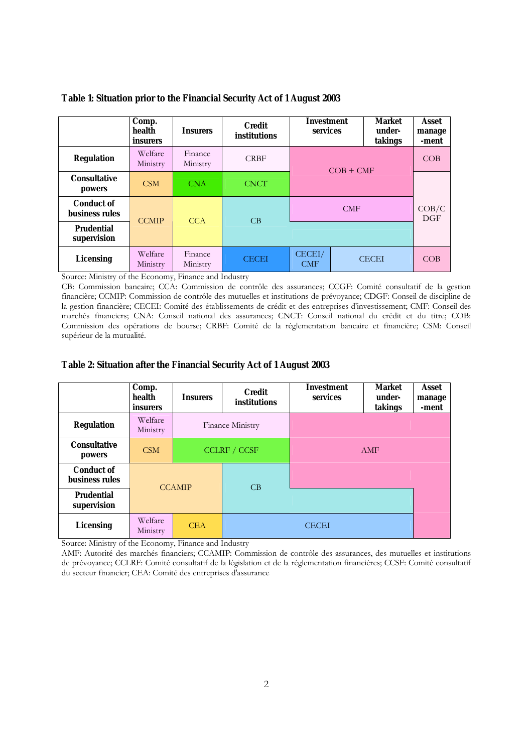|                                            | Comp.<br>health<br>insurers | <b>Insurers</b>     | <b>Credit</b><br>institutions | <b>Investment</b><br>services |            | <b>Market</b><br>under-<br>takings | Asset<br>manage<br>-ment |
|--------------------------------------------|-----------------------------|---------------------|-------------------------------|-------------------------------|------------|------------------------------------|--------------------------|
| <b>Regulation</b>                          | Welfare<br>Ministry         | Finance<br>Ministry | <b>CRBF</b>                   | $COB + CMF$                   |            | COB                                |                          |
| <b>Consultative</b><br>powers              | CSM                         | <b>CNA</b>          | <b>CNCT</b>                   |                               |            |                                    |                          |
| <b>Conduct of</b><br><b>business rules</b> | <b>CCMIP</b>                | <b>CCA</b>          | CB                            |                               | <b>CMF</b> |                                    | COB/C<br>$\rm DGF$       |
| <b>Prudential</b><br>supervision           |                             |                     |                               |                               |            |                                    |                          |
| <b>Licensing</b>                           | Welfare<br>Ministry         | Finance<br>Ministry | <b>CECEI</b>                  | CECEI/<br><b>CMF</b>          |            | <b>CECEI</b>                       | COB                      |

#### **Table 1: Situation prior to the Financial Security Act of 1 August 2003**

Source: Ministry of the Economy, Finance and Industry

CB: Commission bancaire; CCA: Commission de contrôle des assurances; CCGF: Comité consultatif de la gestion financière; CCMIP: Commission de contrôle des mutuelles et institutions de prévoyance; CDGF: Conseil de discipline de la gestion financière; CECEI: Comité des établissements de crédit et des entreprises d'investissement; CMF: Conseil des marchés financiers; CNA: Conseil national des assurances; CNCT: Conseil national du crédit et du titre; COB: Commission des opérations de bourse; CRBF: Comité de la réglementation bancaire et financière; CSM: Conseil supérieur de la mutualité.

#### **Table 2: Situation after the Financial Security Act of 1 August 2003**

|                                     | Comp.<br>health<br>insurers | <b>Insurers</b> | <b>Credit</b><br>institutions | <b>Investment</b><br>services | <b>Market</b><br>under-<br>takings | Asset<br>manage<br>-ment |
|-------------------------------------|-----------------------------|-----------------|-------------------------------|-------------------------------|------------------------------------|--------------------------|
| <b>Regulation</b>                   | Welfare<br>Ministry         |                 | Finance Ministry              |                               |                                    |                          |
| <b>Consultative</b><br>powers       | CSM                         |                 | <b>CCLRF / CCSF</b>           |                               | AMF                                |                          |
| <b>Conduct of</b><br>business rules |                             | <b>CCAMIP</b>   | CB                            |                               |                                    |                          |
| <b>Prudential</b><br>supervision    |                             |                 |                               |                               |                                    |                          |
| <b>Licensing</b>                    | Welfare<br>Ministry         | <b>CEA</b>      |                               | <b>CECEI</b>                  |                                    |                          |

Source: Ministry of the Economy, Finance and Industry

AMF: Autorité des marchés financiers; CCAMIP: Commission de contrôle des assurances, des mutuelles et institutions de prévoyance; CCLRF: Comité consultatif de la législation et de la réglementation financières; CCSF: Comité consultatif du secteur financier; CEA: Comité des entreprises d'assurance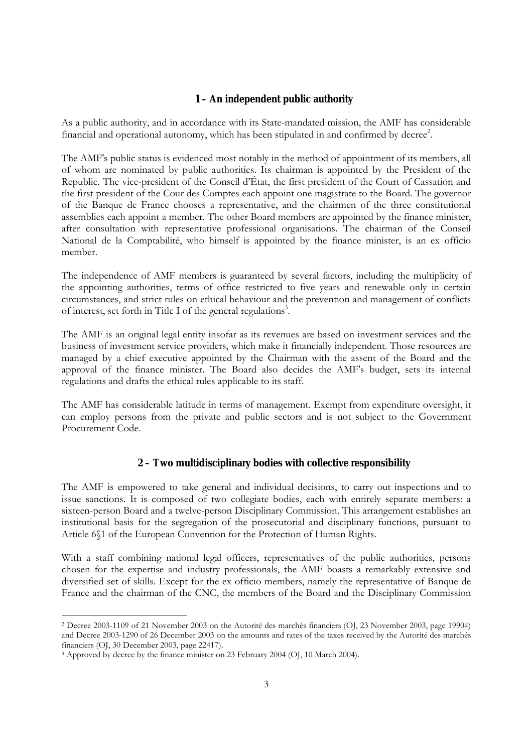#### **1 – An independent public authority**

As a public authority, and in accordance with its State-mandated mission, the AMF has considerable financial and operational autonomy, which has been stipulated in and confirmed by decree<sup>2</sup>.

The AMF's public status is evidenced most notably in the method of appointment of its members, all of whom are nominated by public authorities. Its chairman is appointed by the President of the Republic. The vice-president of the Conseil d'État, the first president of the Court of Cassation and the first president of the Cour des Comptes each appoint one magistrate to the Board. The governor of the Banque de France chooses a representative, and the chairmen of the three constitutional assemblies each appoint a member. The other Board members are appointed by the finance minister, after consultation with representative professional organisations. The chairman of the Conseil National de la Comptabilité, who himself is appointed by the finance minister, is an ex officio member.

The independence of AMF members is guaranteed by several factors, including the multiplicity of the appointing authorities, terms of office restricted to five years and renewable only in certain circumstances, and strict rules on ethical behaviour and the prevention and management of conflicts of interest, set forth in Title I of the general regulations<sup>3</sup>.

The AMF is an original legal entity insofar as its revenues are based on investment services and the business of investment service providers, which make it financially independent. Those resources are managed by a chief executive appointed by the Chairman with the assent of the Board and the approval of the finance minister. The Board also decides the AMF's budget, sets its internal regulations and drafts the ethical rules applicable to its staff.

The AMF has considerable latitude in terms of management. Exempt from expenditure oversight, it can employ persons from the private and public sectors and is not subject to the Government Procurement Code.

#### **2 – Two multidisciplinary bodies with collective responsibility**

The AMF is empowered to take general and individual decisions, to carry out inspections and to issue sanctions. It is composed of two collegiate bodies, each with entirely separate members: a sixteen-person Board and a twelve-person Disciplinary Commission. This arrangement establishes an institutional basis for the segregation of the prosecutorial and disciplinary functions, pursuant to Article 6ß1 of the European Convention for the Protection of Human Rights.

With a staff combining national legal officers, representatives of the public authorities, persons chosen for the expertise and industry professionals, the AMF boasts a remarkably extensive and diversified set of skills. Except for the ex officio members, namely the representative of Banque de France and the chairman of the CNC, the members of the Board and the Disciplinary Commission

<sup>&</sup>lt;sup>2</sup> Decree 2003-1109 of 21 November 2003 on the Autorité des marchés financiers (OI, 23 November 2003, page 19904) and Decree 2003-1290 of 26 December 2003 on the amounts and rates of the taxes received by the Autorité des marchés financiers (OJ, 30 December 2003, page 22417).

<sup>&</sup>lt;sup>3</sup> Approved by decree by the finance minister on 23 February 2004 (OJ, 10 March 2004).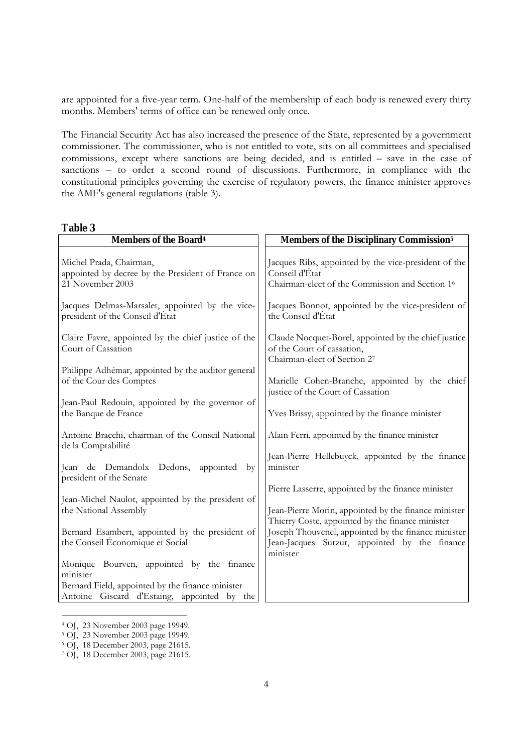are appointed for a five-year term. One-half of the membership of each body is renewed every thirty months. Members' terms of office can be renewed only once.

The Financial Security Act has also increased the presence of the State, represented by a government commissioner. The commissioner, who is not entitled to vote, sits on all committees and specialised commissions, except where sanctions are being decided, and is entitled - save in the case of sanctions - to order a second round of discussions. Furthermore, in compliance with the constitutional principles governing the exercise of regulatory powers, the finance minister approves the AMF's general regulations (table 3).

**Table 3** 

| <b>Members of the Board4</b>                                                                     | <b>Members of the Disciplinary Commission<sup>5</sup></b>                                                                                                            |  |  |  |
|--------------------------------------------------------------------------------------------------|----------------------------------------------------------------------------------------------------------------------------------------------------------------------|--|--|--|
| Michel Prada, Chairman,<br>appointed by decree by the President of France on<br>21 November 2003 | Jacques Ribs, appointed by the vice-president of the<br>Conseil d'État<br>Chairman-elect of the Commission and Section 16                                            |  |  |  |
| Jacques Delmas-Marsalet, appointed by the vice-<br>president of the Conseil d'État               | Jacques Bonnot, appointed by the vice-president of<br>the Conseil d'État                                                                                             |  |  |  |
| Claire Favre, appointed by the chief justice of the<br>Court of Cassation                        | Claude Nocquet-Borel, appointed by the chief justice<br>of the Court of cassation,<br>Chairman-elect of Section 27                                                   |  |  |  |
| Philippe Adhémar, appointed by the auditor general<br>of the Cour des Comptes                    | Marielle Cohen-Branche, appointed by the chief<br>justice of the Court of Cassation                                                                                  |  |  |  |
| Jean-Paul Redouin, appointed by the governor of<br>the Banque de France                          | Yves Brissy, appointed by the finance minister                                                                                                                       |  |  |  |
| Antoine Bracchi, chairman of the Conseil National<br>de la Comptabilité                          | Alain Ferri, appointed by the finance minister                                                                                                                       |  |  |  |
| Dedons, appointed by<br>Jean de Demandolx<br>president of the Senate                             | Jean-Pierre Hellebuyck, appointed by the finance<br>minister                                                                                                         |  |  |  |
| Jean-Michel Naulot, appointed by the president of<br>the National Assembly                       | Pierre Lasserre, appointed by the finance minister<br>Jean-Pierre Morin, appointed by the finance minister                                                           |  |  |  |
| Bernard Esambert, appointed by the president of<br>the Conseil Économique et Social              | Thierry Coste, appointed by the finance minister<br>Joseph Thouvenel, appointed by the finance minister<br>Jean-Jacques Surzur, appointed by the finance<br>minister |  |  |  |
| Monique Bourven, appointed by the finance<br>minister                                            |                                                                                                                                                                      |  |  |  |
| Bernard Field, appointed by the finance minister<br>Antoine Giscard d'Estaing, appointed by the  |                                                                                                                                                                      |  |  |  |

<sup>4</sup> OJ, 23 November 2003 page 19949.

<sup>5</sup> OJ, 23 November 2003 page 19949.

<sup>6</sup> OJ, 18 December 2003, page 21615.

<sup>7</sup> OJ, 18 December 2003, page 21615.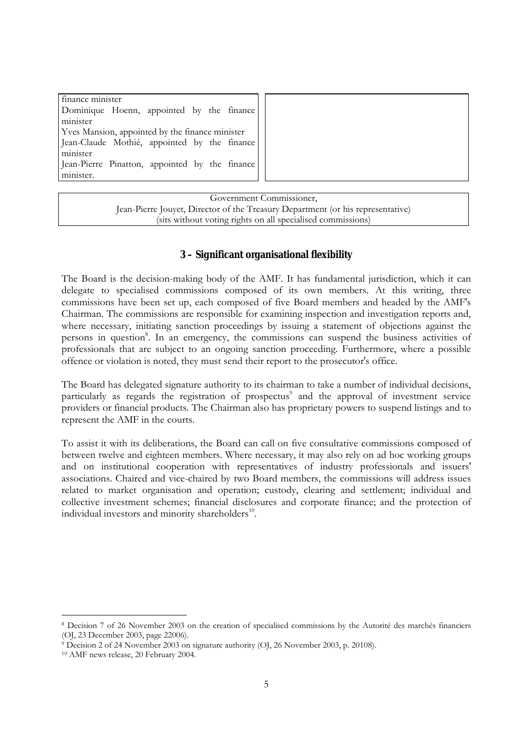| finance minister                                |  |  |
|-------------------------------------------------|--|--|
| Dominique Hoenn, appointed by the finance       |  |  |
| minister                                        |  |  |
| Yves Mansion, appointed by the finance minister |  |  |
| Jean-Claude Mothié, appointed by the finance    |  |  |
| minister                                        |  |  |
| Jean-Pierre Pinatton, appointed by the finance  |  |  |
| minister.                                       |  |  |
|                                                 |  |  |

Government Commissioner, Jean-Pierre Jouyet, Director of the Treasury Department (or his representative) (sits without voting rights on all specialised commissions)

## **3 – Significant organisational flexibility**

The Board is the decision-making body of the AMF. It has fundamental jurisdiction, which it can delegate to specialised commissions composed of its own members. At this writing, three commissions have been set up, each composed of five Board members and headed by the AMF's Chairman. The commissions are responsible for examining inspection and investigation reports and, where necessary, initiating sanction proceedings by issuing a statement of objections against the persons in question<sup>8</sup>. In an emergency, the commissions can suspend the business activities of professionals that are subject to an ongoing sanction proceeding. Furthermore, where a possible offence or violation is noted, they must send their report to the prosecutor's office.

The Board has delegated signature authority to its chairman to take a number of individual decisions, particularly as regards the registration of prospectus<sup>9</sup> and the approval of investment service providers or financial products. The Chairman also has proprietary powers to suspend listings and to represent the AMF in the courts.

To assist it with its deliberations, the Board can call on five consultative commissions composed of between twelve and eighteen members. Where necessary, it may also rely on ad hoc working groups and on institutional cooperation with representatives of industry professionals and issuers' associations. Chaired and vice-chaired by two Board members, the commissions will address issues related to market organisation and operation; custody, clearing and settlement; individual and collective investment schemes; financial disclosures and corporate finance; and the protection of individual investors and minority shareholders<sup>10</sup>.

<sup>&</sup>lt;sup>8</sup> Decision 7 of 26 November 2003 on the creation of specialised commissions by the Autorité des marchés financiers (OJ, 23 December 2003, page 22006).

<sup>9</sup> Decision 2 of 24 November 2003 on signature authority (OJ, 26 November 2003, p. 20108).

<sup>10</sup> AMF news release, 20 February 2004.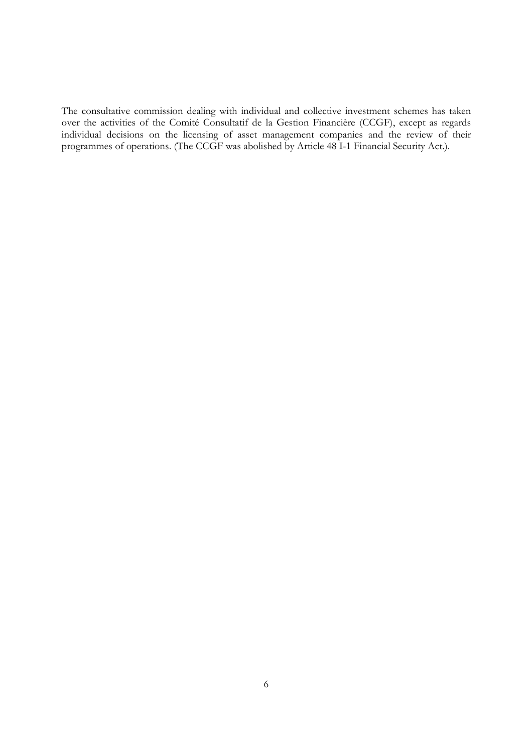The consultative commission dealing with individual and collective investment schemes has taken over the activities of the Comité Consultatif de la Gestion Financière (CCGF), except as regards individual decisions on the licensing of asset management companies and the review of their programmes of operations. (The CCGF was abolished by Article 48 I-1 Financial Security Act.).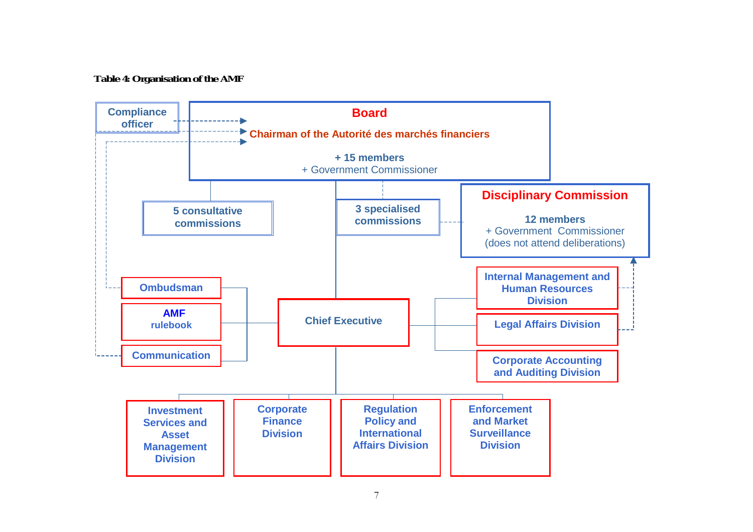**Table 4: Organisation of the AMF**

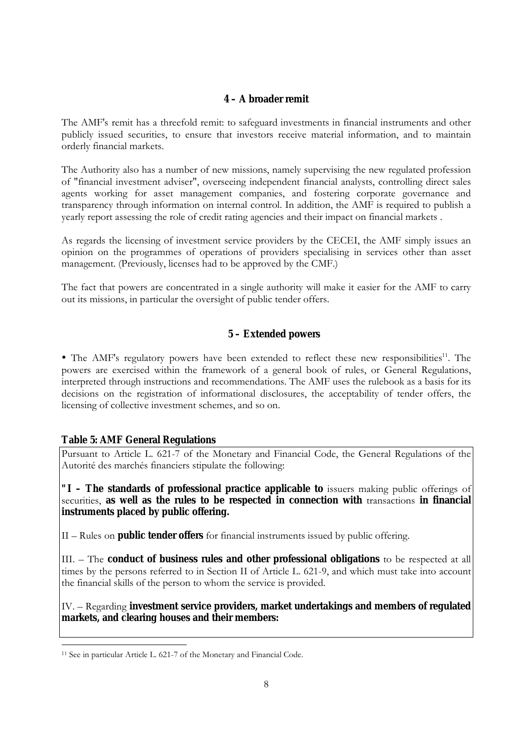#### **4 – A broader remit**

The AMF's remit has a threefold remit: to safeguard investments in financial instruments and other publicly issued securities, to ensure that investors receive material information, and to maintain orderly financial markets.

The Authority also has a number of new missions, namely supervising the new regulated profession of "financial investment adviser", overseeing independent financial analysts, controlling direct sales agents working for asset management companies, and fostering corporate governance and transparency through information on internal control. In addition, the AMF is required to publish a yearly report assessing the role of credit rating agencies and their impact on financial markets .

As regards the licensing of investment service providers by the CECEI, the AMF simply issues an opinion on the programmes of operations of providers specialising in services other than asset management. (Previously, licenses had to be approved by the CMF.)

The fact that powers are concentrated in a single authority will make it easier for the AMF to carry out its missions, in particular the oversight of public tender offers.

## **5 – Extended powers**

• The AMF's regulatory powers have been extended to reflect these new responsibilities<sup>11</sup>. The powers are exercised within the framework of a general book of rules, or General Regulations, interpreted through instructions and recommendations. The AMF uses the rulebook as a basis for its decisions on the registration of informational disclosures, the acceptability of tender offers, the licensing of collective investment schemes, and so on.

#### **Table 5: AMF General Regulations**

<u>.</u>

Pursuant to Article L. 621-7 of the Monetary and Financial Code, the General Regulations of the Autorité des marchés financiers stipulate the following:

**"I – The standards of professional practice applicable to** issuers making public offerings of securities, **as well as the rules to be respected in connection with** transactions **in financial instruments placed by public offering.**

II – Rules on **public tender offers** for financial instruments issued by public offering.

III. – The **conduct of business rules and other professional obligations** to be respected at all times by the persons referred to in Section II of Article L. 621-9, and which must take into account the financial skills of the person to whom the service is provided.

IV. – Regarding **investment service providers, market undertakings and members of regulated markets, and clearing houses and their members:** 

<sup>&</sup>lt;sup>11</sup> See in particular Article L. 621-7 of the Monetary and Financial Code.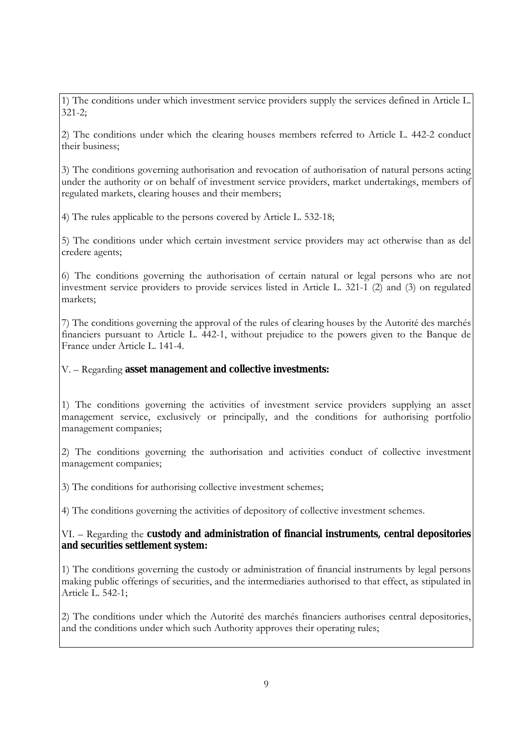1) The conditions under which investment service providers supply the services defined in Article L. 321-2;

2) The conditions under which the clearing houses members referred to Article L. 442-2 conduct their business;

3) The conditions governing authorisation and revocation of authorisation of natural persons acting under the authority or on behalf of investment service providers, market undertakings, members of regulated markets, clearing houses and their members;

4) The rules applicable to the persons covered by Article L. 532-18;

5) The conditions under which certain investment service providers may act otherwise than as del credere agents;

6) The conditions governing the authorisation of certain natural or legal persons who are not investment service providers to provide services listed in Article L. 321-1 (2) and (3) on regulated markets;

7) The conditions governing the approval of the rules of clearing houses by the Autorité des marchés financiers pursuant to Article L. 442-1, without prejudice to the powers given to the Banque de France under Article L. 141-4.

V. – Regarding **asset management and collective investments:** 

1) The conditions governing the activities of investment service providers supplying an asset management service, exclusively or principally, and the conditions for authorising portfolio management companies;

2) The conditions governing the authorisation and activities conduct of collective investment management companies;

3) The conditions for authorising collective investment schemes;

4) The conditions governing the activities of depository of collective investment schemes.

## VI. – Regarding the **custody and administration of financial instruments, central depositories and securities settlement system:**

1) The conditions governing the custody or administration of financial instruments by legal persons making public offerings of securities, and the intermediaries authorised to that effect, as stipulated in Article L. 542-1;

2) The conditions under which the Autorité des marchés financiers authorises central depositories, and the conditions under which such Authority approves their operating rules;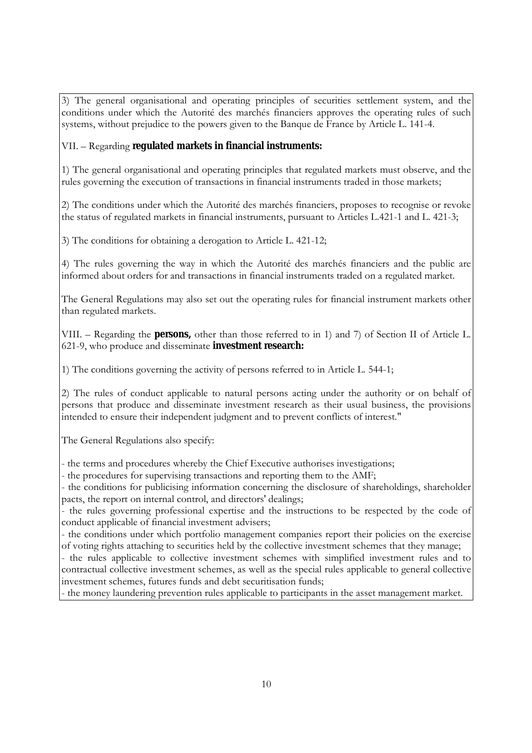3) The general organisational and operating principles of securities settlement system, and the conditions under which the Autorité des marchés financiers approves the operating rules of such systems, without prejudice to the powers given to the Banque de France by Article L. 141-4.

## VII. – Regarding **regulated markets in financial instruments:**

1) The general organisational and operating principles that regulated markets must observe, and the rules governing the execution of transactions in financial instruments traded in those markets;

2) The conditions under which the Autorité des marchés financiers, proposes to recognise or revoke the status of regulated markets in financial instruments, pursuant to Articles L.421-1 and L. 421-3;

3) The conditions for obtaining a derogation to Article L. 421-12;

4) The rules governing the way in which the Autorité des marchés financiers and the public are informed about orders for and transactions in financial instruments traded on a regulated market.

The General Regulations may also set out the operating rules for financial instrument markets other than regulated markets.

VIII. – Regarding the **persons**, other than those referred to in 1) and 7) of Section II of Article L. 621-9, who produce and disseminate **investment research:**

1) The conditions governing the activity of persons referred to in Article L. 544-1;

2) The rules of conduct applicable to natural persons acting under the authority or on behalf of persons that produce and disseminate investment research as their usual business, the provisions intended to ensure their independent judgment and to prevent conflicts of interest."

The General Regulations also specify:

- the terms and procedures whereby the Chief Executive authorises investigations;

- the procedures for supervising transactions and reporting them to the AMF;

- the conditions for publicising information concerning the disclosure of shareholdings, shareholder pacts, the report on internal control, and directors' dealings;

- the rules governing professional expertise and the instructions to be respected by the code of conduct applicable of financial investment advisers;

- the conditions under which portfolio management companies report their policies on the exercise of voting rights attaching to securities held by the collective investment schemes that they manage;

- the rules applicable to collective investment schemes with simplified investment rules and to contractual collective investment schemes, as well as the special rules applicable to general collective investment schemes, futures funds and debt securitisation funds;

- the money laundering prevention rules applicable to participants in the asset management market.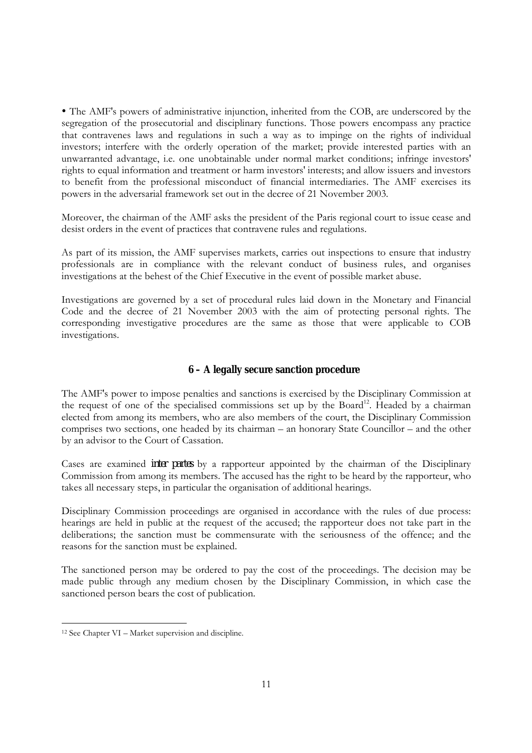! The AMF's powers of administrative injunction, inherited from the COB, are underscored by the segregation of the prosecutorial and disciplinary functions. Those powers encompass any practice that contravenes laws and regulations in such a way as to impinge on the rights of individual investors; interfere with the orderly operation of the market; provide interested parties with an unwarranted advantage, i.e. one unobtainable under normal market conditions; infringe investors' rights to equal information and treatment or harm investors' interests; and allow issuers and investors to benefit from the professional misconduct of financial intermediaries. The AMF exercises its powers in the adversarial framework set out in the decree of 21 November 2003.

Moreover, the chairman of the AMF asks the president of the Paris regional court to issue cease and desist orders in the event of practices that contravene rules and regulations.

As part of its mission, the AMF supervises markets, carries out inspections to ensure that industry professionals are in compliance with the relevant conduct of business rules, and organises investigations at the behest of the Chief Executive in the event of possible market abuse.

Investigations are governed by a set of procedural rules laid down in the Monetary and Financial Code and the decree of 21 November 2003 with the aim of protecting personal rights. The corresponding investigative procedures are the same as those that were applicable to COB investigations.

#### **6 – A legally secure sanction procedure**

The AMF's power to impose penalties and sanctions is exercised by the Disciplinary Commission at the request of one of the specialised commissions set up by the Board<sup>12</sup>. Headed by a chairman elected from among its members, who are also members of the court, the Disciplinary Commission comprises two sections, one headed by its chairman  $-$  an honorary State Councillor  $-$  and the other by an advisor to the Court of Cassation.

Cases are examined *inter partes* by a rapporteur appointed by the chairman of the Disciplinary Commission from among its members. The accused has the right to be heard by the rapporteur, who takes all necessary steps, in particular the organisation of additional hearings.

Disciplinary Commission proceedings are organised in accordance with the rules of due process: hearings are held in public at the request of the accused; the rapporteur does not take part in the deliberations; the sanction must be commensurate with the seriousness of the offence; and the reasons for the sanction must be explained.

The sanctioned person may be ordered to pay the cost of the proceedings. The decision may be made public through any medium chosen by the Disciplinary Commission, in which case the sanctioned person bears the cost of publication.

 $12$  See Chapter VI – Market supervision and discipline.